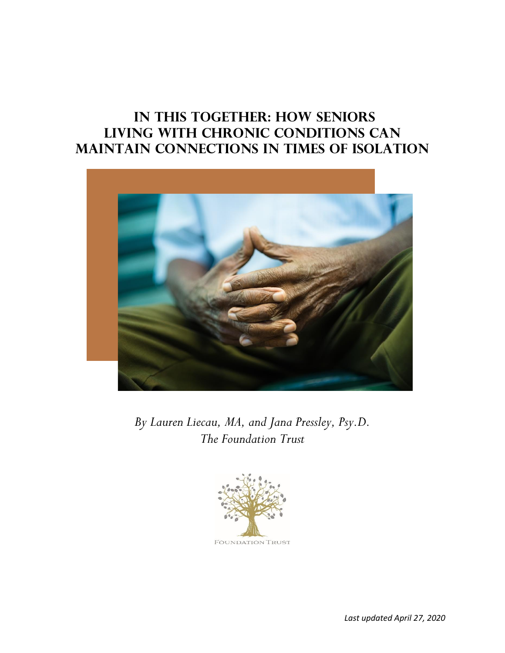# **In This Together: How Seniors Living with Chronic Conditions Can Maintain Connections in Times of Isolation**



*By Lauren Liecau, MA, and Jana Pressley, Psy.D. The Foundation Trust*



**FOUNDATION TRUST**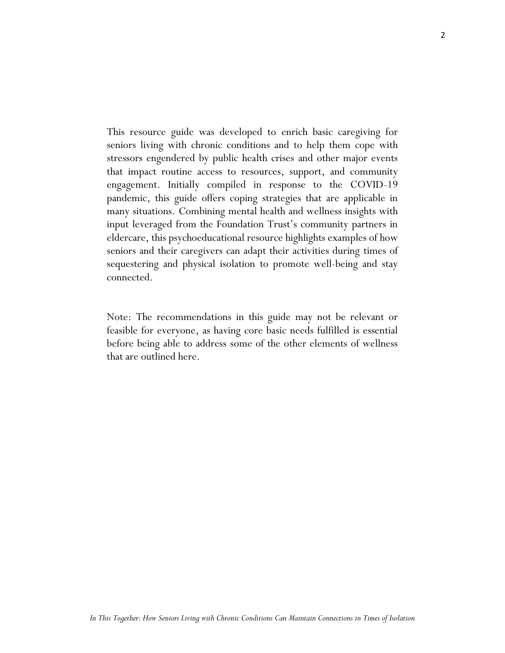This resource guide was developed to enrich basic caregiving for seniors living with chronic conditions and to help them cope with stressors engendered by public health crises and other major events that impact routine access to resources, support, and community engagement. Initially compiled in response to the COVID-19 pandemic, this guide offers coping strategies that are applicable in many situations. Combining mental health and wellness insights with input leveraged from the Foundation Trust's community partners in eldercare, this psychoeducational resource highlights examples of how seniors and their caregivers can adapt their activities during times of sequestering and physical isolation to promote well-being and stay connected.

Note: The recommendations in this guide may not be relevant or feasible for everyone, as having core basic needs fulfilled is essential before being able to address some of the other elements of wellness that are outlined here.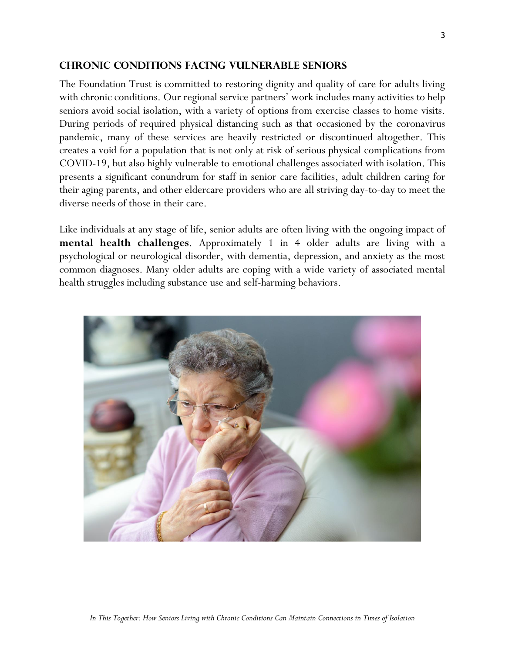#### **CHRONIC CONDITIONS FACING VULNERABLE SENIORS**

The Foundation Trust is committed to restoring dignity and quality of care for adults living with chronic conditions. Our regional service partners' work includes many activities to help seniors avoid social isolation, with a variety of options from exercise classes to home visits. During periods of required physical distancing such as that occasioned by the coronavirus pandemic, many of these services are heavily restricted or discontinued altogether. This creates a void for a population that is not only at risk of serious physical complications from COVID-19, but also highly vulnerable to emotional challenges associated with isolation. This presents a significant conundrum for staff in senior care facilities, adult children caring for their aging parents, and other eldercare providers who are all striving day-to-day to meet the diverse needs of those in their care.

Like individuals at any stage of life, senior adults are often living with the ongoing impact of **mental health challenges**. Approximately 1 in 4 older adults are living with a psychological or neurological disorder, with dementia, depression, and anxiety as the most common diagnoses. Many older adults are coping with a wide variety of associated mental health struggles including substance use and self-harming behaviors.

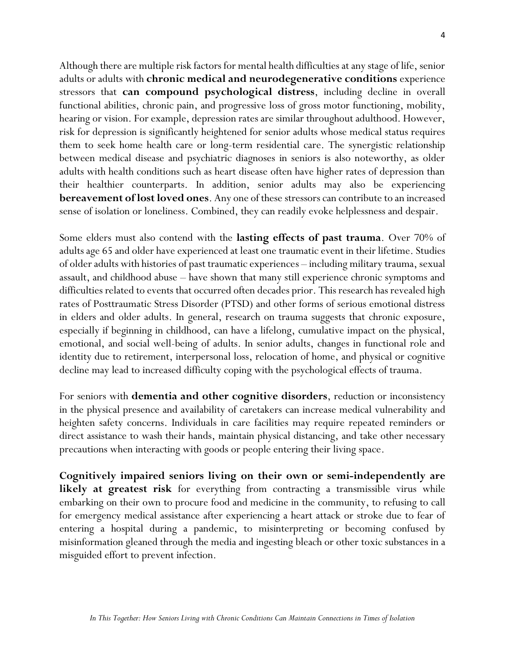Although there are multiple risk factors for mental health difficulties at any stage of life, senior adults or adults with **chronic medical and neurodegenerative conditions** experience stressors that **can compound psychological distress**, including decline in overall functional abilities, chronic pain, and progressive loss of gross motor functioning, mobility, hearing or vision. For example, depression rates are similar throughout adulthood. However, risk for depression is significantly heightened for senior adults whose medical status requires them to seek home health care or long-term residential care. The synergistic relationship between medical disease and psychiatric diagnoses in seniors is also noteworthy, as older adults with health conditions such as heart disease often have higher rates of depression than their healthier counterparts. In addition, senior adults may also be experiencing **bereavement of lost loved ones**. Any one of these stressors can contribute to an increased sense of isolation or loneliness. Combined, they can readily evoke helplessness and despair.

Some elders must also contend with the **lasting effects of past trauma**. Over 70% of adults age 65 and older have experienced at least one traumatic event in their lifetime. Studies of older adults with histories of past traumatic experiences – including military trauma, sexual assault, and childhood abuse – have shown that many still experience chronic symptoms and difficulties related to events that occurred often decades prior. This research has revealed high rates of Posttraumatic Stress Disorder (PTSD) and other forms of serious emotional distress in elders and older adults. In general, research on trauma suggests that chronic exposure, especially if beginning in childhood, can have a lifelong, cumulative impact on the physical, emotional, and social well-being of adults. In senior adults, changes in functional role and identity due to retirement, interpersonal loss, relocation of home, and physical or cognitive decline may lead to increased difficulty coping with the psychological effects of trauma.

For seniors with **dementia and other cognitive disorders**, reduction or inconsistency in the physical presence and availability of caretakers can increase medical vulnerability and heighten safety concerns. Individuals in care facilities may require repeated reminders or direct assistance to wash their hands, maintain physical distancing, and take other necessary precautions when interacting with goods or people entering their living space.

**Cognitively impaired seniors living on their own or semi-independently are likely at greatest risk** for everything from contracting a transmissible virus while embarking on their own to procure food and medicine in the community, to refusing to call for emergency medical assistance after experiencing a heart attack or stroke due to fear of entering a hospital during a pandemic, to misinterpreting or becoming confused by misinformation gleaned through the media and ingesting bleach or other toxic substances in a misguided effort to prevent infection.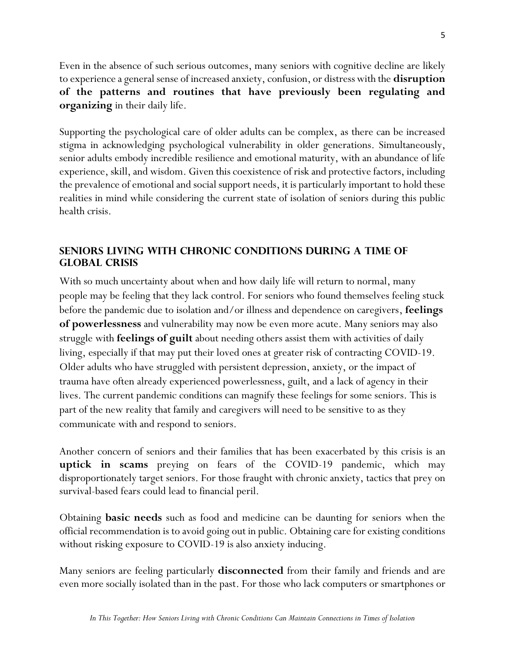Even in the absence of such serious outcomes, many seniors with cognitive decline are likely to experience a general sense of increased anxiety, confusion, or distress with the **disruption of the patterns and routines that have previously been regulating and organizing** in their daily life.

Supporting the psychological care of older adults can be complex, as there can be increased stigma in acknowledging psychological vulnerability in older generations. Simultaneously, senior adults embody incredible resilience and emotional maturity, with an abundance of life experience, skill, and wisdom. Given this coexistence of risk and protective factors, including the prevalence of emotional and social support needs, it is particularly important to hold these realities in mind while considering the current state of isolation of seniors during this public health crisis.

# **SENIORS LIVING WITH CHRONIC CONDITIONS DURING A TIME OF GLOBAL CRISIS**

With so much uncertainty about when and how daily life will return to normal, many people may be feeling that they lack control. For seniors who found themselves feeling stuck before the pandemic due to isolation and/or illness and dependence on caregivers, **feelings of powerlessness** and vulnerability may now be even more acute. Many seniors may also struggle with **feelings of guilt** about needing others assist them with activities of daily living, especially if that may put their loved ones at greater risk of contracting COVID-19. Older adults who have struggled with persistent depression, anxiety, or the impact of trauma have often already experienced powerlessness, guilt, and a lack of agency in their lives. The current pandemic conditions can magnify these feelings for some seniors. This is part of the new reality that family and caregivers will need to be sensitive to as they communicate with and respond to seniors.

Another concern of seniors and their families that has been exacerbated by this crisis is an **uptick in scams** preying on fears of the COVID-19 pandemic, which may disproportionately target seniors. For those fraught with chronic anxiety, tactics that prey on survival-based fears could lead to financial peril.

Obtaining **basic needs** such as food and medicine can be daunting for seniors when the official recommendation is to avoid going out in public. Obtaining care for existing conditions without risking exposure to COVID-19 is also anxiety inducing.

Many seniors are feeling particularly **disconnected** from their family and friends and are even more socially isolated than in the past. For those who lack computers or smartphones or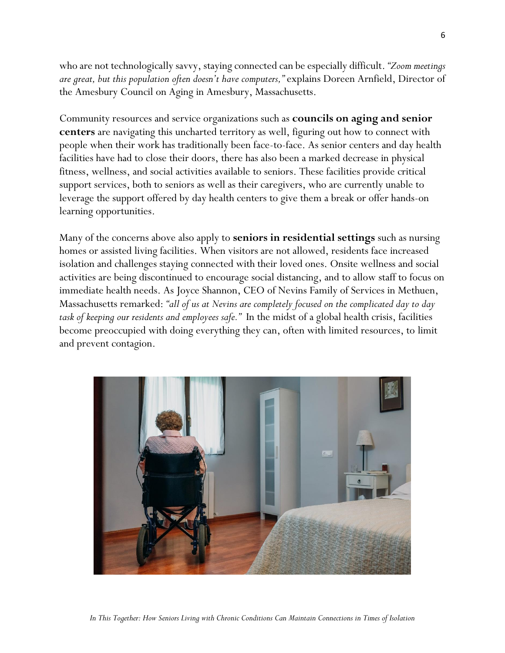who are not technologically savvy, staying connected can be especially difficult. *"Zoom meetings are great, but this population often doesn't have computers,"* explains Doreen Arnfield, Director of the Amesbury Council on Aging in Amesbury, Massachusetts.

Community resources and service organizations such as **councils on aging and senior centers** are navigating this uncharted territory as well, figuring out how to connect with people when their work has traditionally been face-to-face. As senior centers and day health facilities have had to close their doors, there has also been a marked decrease in physical fitness, wellness, and social activities available to seniors. These facilities provide critical support services, both to seniors as well as their caregivers, who are currently unable to leverage the support offered by day health centers to give them a break or offer hands-on learning opportunities.

Many of the concerns above also apply to **seniors in residential settings** such as nursing homes or assisted living facilities. When visitors are not allowed, residents face increased isolation and challenges staying connected with their loved ones. Onsite wellness and social activities are being discontinued to encourage social distancing, and to allow staff to focus on immediate health needs. As Joyce Shannon, CEO of Nevins Family of Services in Methuen, Massachusetts remarked: *"all of us at Nevins are completely focused on the complicated day to day task of keeping our residents and employees safe."* In the midst of a global health crisis, facilities become preoccupied with doing everything they can, often with limited resources, to limit and prevent contagion.

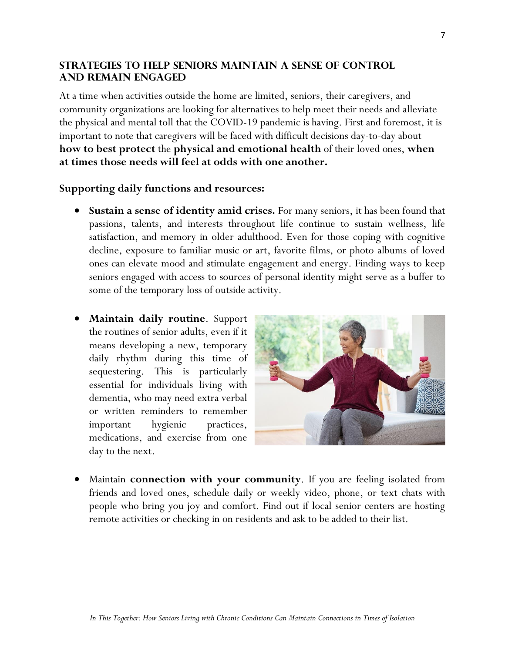### **STRATEGIES TO HELP SENIORS MAINTAIN A SENSE OF CONTROL AND REMAIN ENGAGED**

At a time when activities outside the home are limited, seniors, their caregivers, and community organizations are looking for alternatives to help meet their needs and alleviate the physical and mental toll that the COVID-19 pandemic is having. First and foremost, it is important to note that caregivers will be faced with difficult decisions day-to-day about **how to best protect** the **physical and emotional health** of their loved ones, **when at times those needs will feel at odds with one another.**

### **Supporting daily functions and resources:**

- **Sustain a sense of identity amid crises.** For many seniors, it has been found that passions, talents, and interests throughout life continue to sustain wellness, life satisfaction, and memory in older adulthood. Even for those coping with cognitive decline, exposure to familiar music or art, favorite films, or photo albums of loved ones can elevate mood and stimulate engagement and energy. Finding ways to keep seniors engaged with access to sources of personal identity might serve as a buffer to some of the temporary loss of outside activity.
- **Maintain daily routine**. Support the routines of senior adults, even if it means developing a new, temporary daily rhythm during this time of sequestering. This is particularly essential for individuals living with dementia, who may need extra verbal or written reminders to remember important hygienic practices, medications, and exercise from one day to the next.



• Maintain **connection with your community**. If you are feeling isolated from friends and loved ones, schedule daily or weekly video, phone, or text chats with people who bring you joy and comfort. Find out if local senior centers are hosting remote activities or checking in on residents and ask to be added to their list.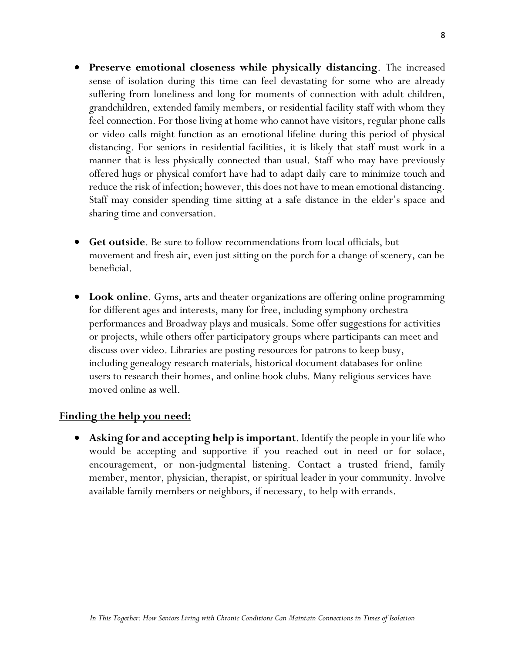- **Preserve emotional closeness while physically distancing**. The increased sense of isolation during this time can feel devastating for some who are already suffering from loneliness and long for moments of connection with adult children, grandchildren, extended family members, or residential facility staff with whom they feel connection. For those living at home who cannot have visitors, regular phone calls or video calls might function as an emotional lifeline during this period of physical distancing. For seniors in residential facilities, it is likely that staff must work in a manner that is less physically connected than usual. Staff who may have previously offered hugs or physical comfort have had to adapt daily care to minimize touch and reduce the risk of infection; however, this does not have to mean emotional distancing. Staff may consider spending time sitting at a safe distance in the elder's space and sharing time and conversation.
- **Get outside**. Be sure to follow recommendations from local officials, but movement and fresh air, even just sitting on the porch for a change of scenery, can be beneficial.
- **Look online**. Gyms, arts and theater organizations are offering online programming for different ages and interests, many for free, including symphony orchestra performances and Broadway plays and musicals. Some offer suggestions for activities or projects, while others offer participatory groups where participants can meet and discuss over video. Libraries are posting resources for patrons to keep busy, including genealogy research materials, historical document databases for online users to research their homes, and online book clubs. Many religious services have moved online as well.

### **Finding the help you need:**

• **Asking for and accepting help is important**. Identify the people in your life who would be accepting and supportive if you reached out in need or for solace, encouragement, or non-judgmental listening. Contact a trusted friend, family member, mentor, physician, therapist, or spiritual leader in your community. Involve available family members or neighbors, if necessary, to help with errands.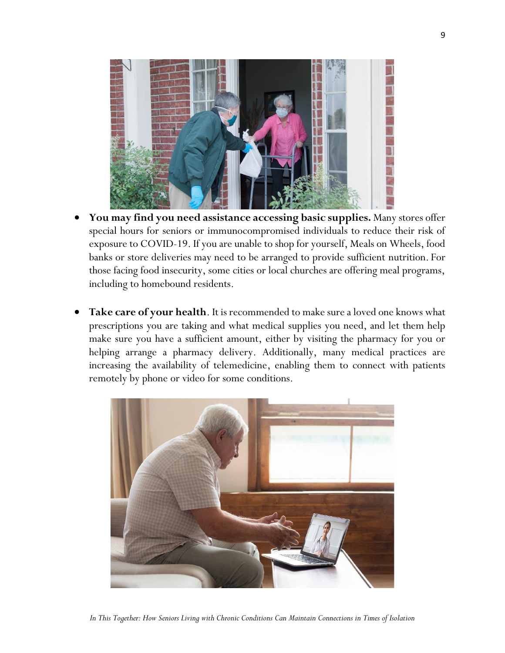

- **You may find you need assistance accessing basic supplies.** Many stores offer special hours for seniors or immunocompromised individuals to reduce their risk of exposure to COVID-19. If you are unable to shop for yourself, Meals on Wheels, food banks or store deliveries may need to be arranged to provide sufficient nutrition. For those facing food insecurity, some cities or local churches are offering meal programs, including to homebound residents.
- Take care of your health. It is recommended to make sure a loved one knows what prescriptions you are taking and what medical supplies you need, and let them help make sure you have a sufficient amount, either by visiting the pharmacy for you or helping arrange a pharmacy delivery. Additionally, many medical practices are increasing the availability of telemedicine, enabling them to connect with patients remotely by phone or video for some conditions.



*In This Together: How Seniors Living with Chronic Conditions Can Maintain Connections in Times of Isolation*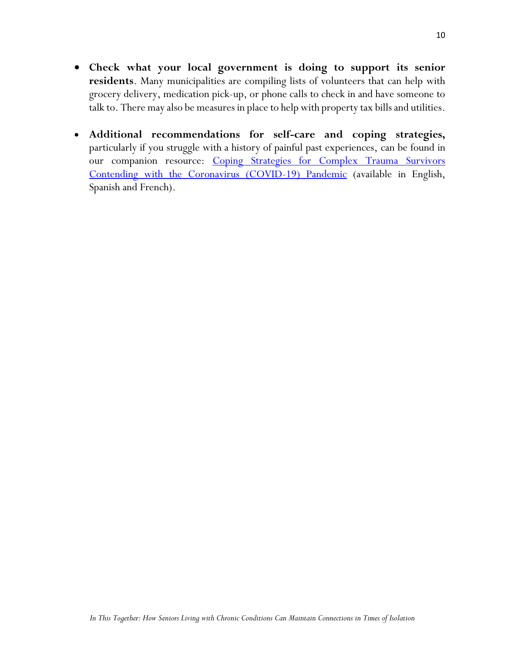- **Check what your local government is doing to support its senior residents**. Many municipalities are compiling lists of volunteers that can help with grocery delivery, medication pick-up, or phone calls to check in and have someone to talk to. There may also be measures in place to help with property tax bills and utilities.
- **Additional recommendations for self-care and coping strategies,**  particularly if you struggle with a history of painful past experiences, can be found in our companion resource: Coping Strategies for Complex Trauma Survivors [Contending with the Coronavirus \(COVID-19\) Pandemic](https://www.complextrauma.org/coping-strategies-for-complex-trauma-survivors-contending-with-the-covid-19-coronavirus-pandemic/) (available in English, Spanish and French).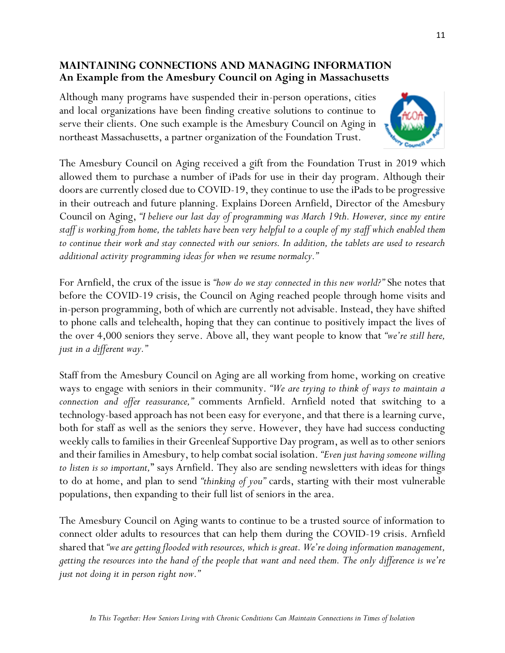## **MAINTAINING CONNECTIONS AND MANAGING INFORMATION An Example from the Amesbury Council on Aging in Massachusetts**

Although many programs have suspended their in-person operations, cities and local organizations have been finding creative solutions to continue to serve their clients. One such example is the Amesbury Council on Aging in northeast Massachusetts, a partner organization of the Foundation Trust.



The Amesbury Council on Aging received a gift from the Foundation Trust in 2019 which allowed them to purchase a number of iPads for use in their day program. Although their doors are currently closed due to COVID-19, they continue to use the iPads to be progressive in their outreach and future planning. Explains Doreen Arnfield, Director of the Amesbury Council on Aging, *"I believe our last day of programming was March 19th. However, since my entire staff is working from home, the tablets have been very helpful to a couple of my staff which enabled them to continue their work and stay connected with our seniors. In addition, the tablets are used to research additional activity programming ideas for when we resume normalcy."*

For Arnfield, the crux of the issue is *"how do we stay connected in this new world?"* She notes that before the COVID-19 crisis, the Council on Aging reached people through home visits and in-person programming, both of which are currently not advisable. Instead, they have shifted to phone calls and telehealth, hoping that they can continue to positively impact the lives of the over 4,000 seniors they serve. Above all, they want people to know that *"we're still here, just in a different way."*

Staff from the Amesbury Council on Aging are all working from home, working on creative ways to engage with seniors in their community. *"We are trying to think of ways to maintain a connection and offer reassurance,"* comments Arnfield. Arnfield noted that switching to a technology-based approach has not been easy for everyone, and that there is a learning curve, both for staff as well as the seniors they serve. However, they have had success conducting weekly calls to families in their Greenleaf Supportive Day program, as well as to other seniors and their families in Amesbury, to help combat social isolation. *"Even just having someone willing to listen is so important,*" says Arnfield. They also are sending newsletters with ideas for things to do at home, and plan to send *"thinking of you"* cards, starting with their most vulnerable populations, then expanding to their full list of seniors in the area.

The Amesbury Council on Aging wants to continue to be a trusted source of information to connect older adults to resources that can help them during the COVID-19 crisis. Arnfield shared that *"we are getting flooded with resources, which is great. We're doing information management, getting the resources into the hand of the people that want and need them. The only difference is we're just not doing it in person right now."*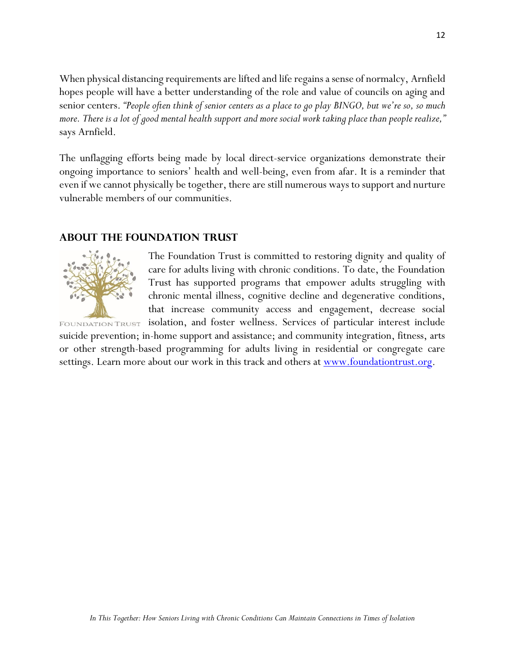When physical distancing requirements are lifted and life regains a sense of normalcy, Arnfield hopes people will have a better understanding of the role and value of councils on aging and senior centers. *"People often think of senior centers as a place to go play BINGO, but we're so, so much more. There is a lot of good mental health support and more social work takingplace than people realize,"* says Arnfield.

The unflagging efforts being made by local direct-service organizations demonstrate their ongoing importance to seniors' health and well-being, even from afar. It is a reminder that even if we cannot physically be together, there are still numerous ways to support and nurture vulnerable members of our communities.

#### **About the Foundation Trust**



The Foundation Trust is committed to restoring dignity and quality of care for adults living with chronic conditions. To date, the Foundation Trust has supported programs that empower adults struggling with chronic mental illness, cognitive decline and degenerative conditions, that increase community access and engagement, decrease social

isolation, and foster wellness. Services of particular interest include **FOUNDATION TRUST** suicide prevention; in-home support and assistance; and community integration, fitness, arts or other strength-based programming for adults living in residential or congregate care settings. Learn more about our work in this track and others at <u>www.foundationtrust.org</u>.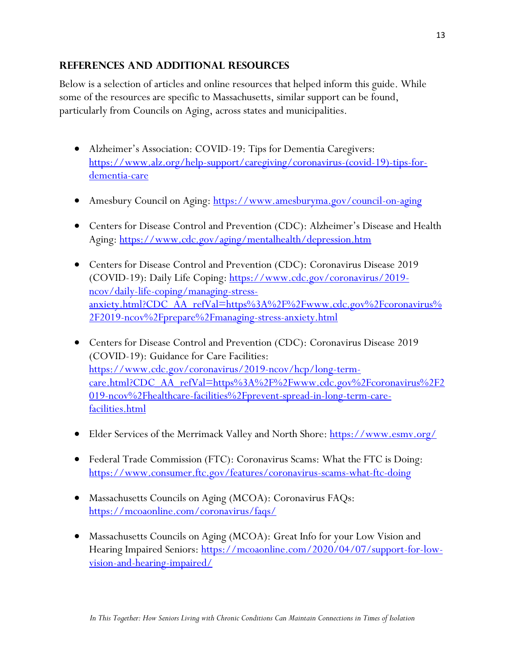# **REFERENCES AND ADDITIONAL RESOURCES**

Below is a selection of articles and online resources that helped inform this guide. While some of the resources are specific to Massachusetts, similar support can be found, particularly from Councils on Aging, across states and municipalities.

- Alzheimer's Association: COVID-19: Tips for Dementia Caregivers: [https://www.alz.org/help-support/caregiving/coronavirus-\(covid-19\)-tips-for](https://www.alz.org/help-support/caregiving/coronavirus-(covid-19)-tips-for-dementia-care)[dementia-care](https://www.alz.org/help-support/caregiving/coronavirus-(covid-19)-tips-for-dementia-care)
- Amesbury Council on Aging:<https://www.amesburyma.gov/council-on-aging>
- Centers for Disease Control and Prevention (CDC): Alzheimer's Disease and Health Aging:<https://www.cdc.gov/aging/mentalhealth/depression.htm>
- Centers for Disease Control and Prevention (CDC): Coronavirus Disease 2019 (COVID-19): Daily Life Coping: [https://www.cdc.gov/coronavirus/2019](https://www.cdc.gov/coronavirus/2019-ncov/daily-life-coping/managing-stress-anxiety.html?CDC_AA_refVal=https%3A%2F%2Fwww.cdc.gov%2Fcoronavirus%2F2019-ncov%2Fprepare%2Fmanaging-stress-anxiety.html) [ncov/daily-life-coping/managing-stress](https://www.cdc.gov/coronavirus/2019-ncov/daily-life-coping/managing-stress-anxiety.html?CDC_AA_refVal=https%3A%2F%2Fwww.cdc.gov%2Fcoronavirus%2F2019-ncov%2Fprepare%2Fmanaging-stress-anxiety.html)[anxiety.html?CDC\\_AA\\_refVal=https%3A%2F%2Fwww.cdc.gov%2Fcoronavirus%](https://www.cdc.gov/coronavirus/2019-ncov/daily-life-coping/managing-stress-anxiety.html?CDC_AA_refVal=https%3A%2F%2Fwww.cdc.gov%2Fcoronavirus%2F2019-ncov%2Fprepare%2Fmanaging-stress-anxiety.html) [2F2019-ncov%2Fprepare%2Fmanaging-stress-anxiety.html](https://www.cdc.gov/coronavirus/2019-ncov/daily-life-coping/managing-stress-anxiety.html?CDC_AA_refVal=https%3A%2F%2Fwww.cdc.gov%2Fcoronavirus%2F2019-ncov%2Fprepare%2Fmanaging-stress-anxiety.html)
- Centers for Disease Control and Prevention (CDC): Coronavirus Disease 2019 (COVID-19): Guidance for Care Facilities: [https://www.cdc.gov/coronavirus/2019-ncov/hcp/long-term](https://www.cdc.gov/coronavirus/2019-ncov/hcp/long-term-care.html?CDC_AA_refVal=https%3A%2F%2Fwww.cdc.gov%2Fcoronavirus%2F2019-ncov%2Fhealthcare-facilities%2Fprevent-spread-in-long-term-care-facilities.html)[care.html?CDC\\_AA\\_refVal=https%3A%2F%2Fwww.cdc.gov%2Fcoronavirus%2F2](https://www.cdc.gov/coronavirus/2019-ncov/hcp/long-term-care.html?CDC_AA_refVal=https%3A%2F%2Fwww.cdc.gov%2Fcoronavirus%2F2019-ncov%2Fhealthcare-facilities%2Fprevent-spread-in-long-term-care-facilities.html) [019-ncov%2Fhealthcare-facilities%2Fprevent-spread-in-long-term-care](https://www.cdc.gov/coronavirus/2019-ncov/hcp/long-term-care.html?CDC_AA_refVal=https%3A%2F%2Fwww.cdc.gov%2Fcoronavirus%2F2019-ncov%2Fhealthcare-facilities%2Fprevent-spread-in-long-term-care-facilities.html)[facilities.html](https://www.cdc.gov/coronavirus/2019-ncov/hcp/long-term-care.html?CDC_AA_refVal=https%3A%2F%2Fwww.cdc.gov%2Fcoronavirus%2F2019-ncov%2Fhealthcare-facilities%2Fprevent-spread-in-long-term-care-facilities.html)
- Elder Services of the Merrimack Valley and North Shore: https://www.esmy.org/
- Federal Trade Commission (FTC): Coronavirus Scams: What the FTC is Doing: <https://www.consumer.ftc.gov/features/coronavirus-scams-what-ftc-doing>
- Massachusetts Councils on Aging (MCOA): Coronavirus FAQs: <https://mcoaonline.com/coronavirus/faqs/>
- Massachusetts Councils on Aging (MCOA): Great Info for your Low Vision and Hearing Impaired Seniors: [https://mcoaonline.com/2020/04/07/support-for-low](https://mcoaonline.com/2020/04/07/support-for-low-vision-and-hearing-impaired/)[vision-and-hearing-impaired/](https://mcoaonline.com/2020/04/07/support-for-low-vision-and-hearing-impaired/)